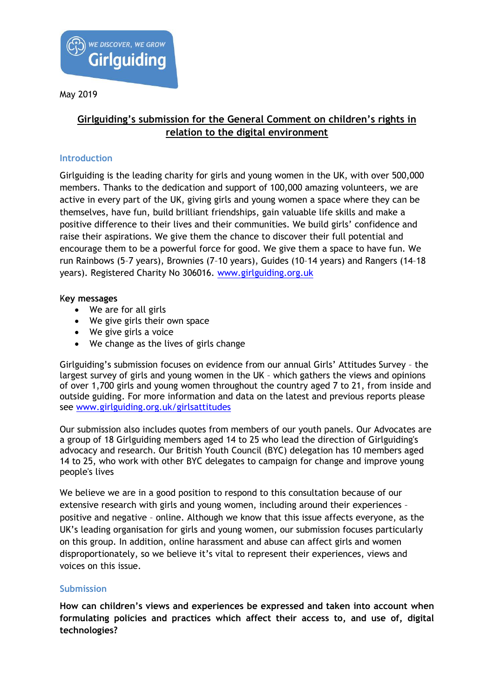

# **Girlguiding's submission for the General Comment on children's rights in relation to the digital environment**

## **Introduction**

Girlguiding is the leading charity for girls and young women in the UK, with over 500,000 members. Thanks to the dedication and support of 100,000 amazing volunteers, we are active in every part of the UK, giving girls and young women a space where they can be themselves, have fun, build brilliant friendships, gain valuable life skills and make a positive difference to their lives and their communities. We build girls' confidence and raise their aspirations. We give them the chance to discover their full potential and encourage them to be a powerful force for good. We give them a space to have fun. We run Rainbows (5–7 years), Brownies (7–10 years), Guides (10–14 years) and Rangers (14–18 years). Registered Charity No 306016. [www.girlguiding.org.uk](http://www.girlguiding.org.uk/)

#### K**ey messages**

- We are for all girls
- We give girls their own space
- We give girls a voice
- We change as the lives of girls change

Girlguiding's submission focuses on evidence from our annual Girls' Attitudes Survey – the largest survey of girls and young women in the UK – which gathers the views and opinions of over 1,700 girls and young women throughout the country aged 7 to 21, from inside and outside guiding. For more information and data on the latest and previous reports please see [www.girlguiding.org.uk/girlsattitudes](http://www.girlguiding.org.uk/girlsattitudes) 

Our submission also includes quotes from members of our youth panels. Our Advocates are a group of 18 Girlguiding members aged 14 to 25 who lead the direction of Girlguiding's advocacy and research. Our British Youth Council (BYC) delegation has 10 members aged 14 to 25, who work with other BYC delegates to campaign for change and improve young people's lives

We believe we are in a good position to respond to this consultation because of our extensive research with girls and young women, including around their experiences – positive and negative – online. Although we know that this issue affects everyone, as the UK's leading organisation for girls and young women, our submission focuses particularly on this group. In addition, online harassment and abuse can affect girls and women disproportionately, so we believe it's vital to represent their experiences, views and voices on this issue.

#### **Submission**

**How can children's views and experiences be expressed and taken into account when formulating policies and practices which affect their access to, and use of, digital technologies?**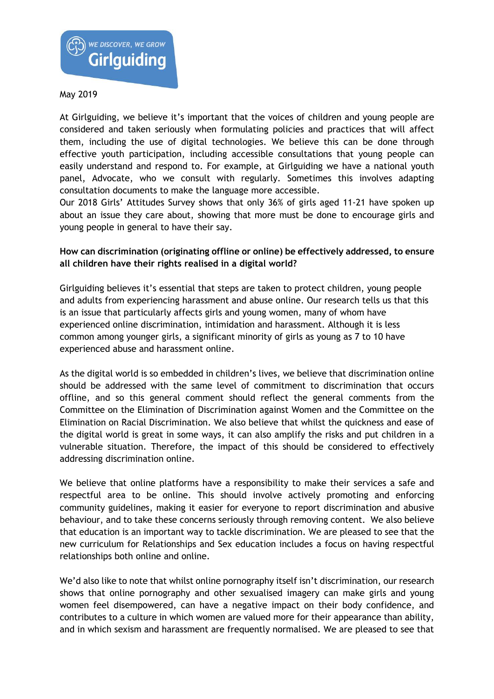

At Girlguiding, we believe it's important that the voices of children and young people are considered and taken seriously when formulating policies and practices that will affect them, including the use of digital technologies. We believe this can be done through effective youth participation, including accessible consultations that young people can easily understand and respond to. For example, at Girlguiding we have a national youth panel, Advocate, who we consult with regularly. Sometimes this involves adapting consultation documents to make the language more accessible.

Our 2018 Girls' Attitudes Survey shows that only 36% of girls aged 11-21 have spoken up about an issue they care about, showing that more must be done to encourage girls and young people in general to have their say.

## **How can discrimination (originating offline or online) be effectively addressed, to ensure all children have their rights realised in a digital world?**

Girlguiding believes it's essential that steps are taken to protect children, young people and adults from experiencing harassment and abuse online. Our research tells us that this is an issue that particularly affects girls and young women, many of whom have experienced online discrimination, intimidation and harassment. Although it is less common among younger girls, a significant minority of girls as young as 7 to 10 have experienced abuse and harassment online.

As the digital world is so embedded in children's lives, we believe that discrimination online should be addressed with the same level of commitment to discrimination that occurs offline, and so this general comment should reflect the general comments from the Committee on the Elimination of Discrimination against Women and the Committee on the Elimination on Racial Discrimination. We also believe that whilst the quickness and ease of the digital world is great in some ways, it can also amplify the risks and put children in a vulnerable situation. Therefore, the impact of this should be considered to effectively addressing discrimination online.

We believe that online platforms have a responsibility to make their services a safe and respectful area to be online. This should involve actively promoting and enforcing community guidelines, making it easier for everyone to report discrimination and abusive behaviour, and to take these concerns seriously through removing content. We also believe that education is an important way to tackle discrimination. We are pleased to see that the new curriculum for Relationships and Sex education includes a focus on having respectful relationships both online and online.

We'd also like to note that whilst online pornography itself isn't discrimination, our research shows that online pornography and other sexualised imagery can make girls and young women feel disempowered, can have a negative impact on their body confidence, and contributes to a culture in which women are valued more for their appearance than ability, and in which sexism and harassment are frequently normalised. We are pleased to see that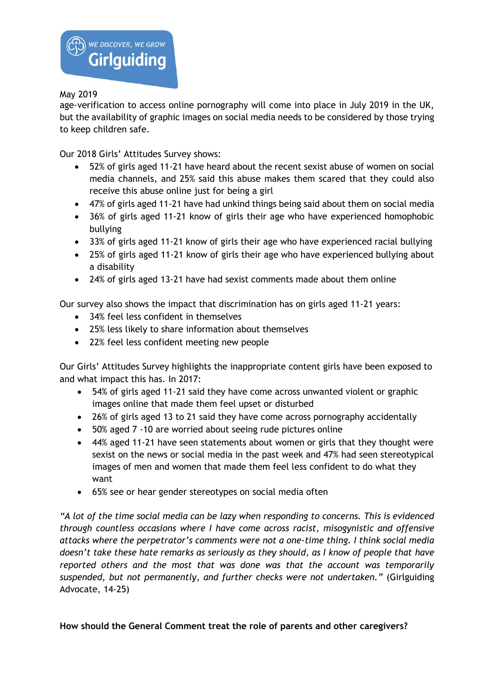age-verification to access online pornography will come into place in July 2019 in the UK, but the availability of graphic images on social media needs to be considered by those trying to keep children safe.

Our 2018 Girls' Attitudes Survey shows:

- 52% of girls aged 11-21 have heard about the recent sexist abuse of women on social media channels, and 25% said this abuse makes them scared that they could also receive this abuse online just for being a girl
- 47% of girls aged 11-21 have had unkind things being said about them on social media
- 36% of girls aged 11-21 know of girls their age who have experienced homophobic bullying
- 33% of girls aged 11-21 know of girls their age who have experienced racial bullying
- 25% of girls aged 11-21 know of girls their age who have experienced bullying about a disability
- 24% of girls aged 13-21 have had sexist comments made about them online

Our survey also shows the impact that discrimination has on girls aged 11-21 years:

- 34% feel less confident in themselves
- 25% less likely to share information about themselves
- 22% feel less confident meeting new people

Our Girls' Attitudes Survey highlights the inappropriate content girls have been exposed to and what impact this has. In 2017:

- 54% of girls aged 11-21 said they have come across unwanted violent or graphic images online that made them feel upset or disturbed
- 26% of girls aged 13 to 21 said they have come across pornography accidentally
- 50% aged 7 -10 are worried about seeing rude pictures online
- 44% aged 11-21 have seen statements about women or girls that they thought were sexist on the news or social media in the past week and 47% had seen stereotypical images of men and women that made them feel less confident to do what they want
- 65% see or hear gender stereotypes on social media often

*"A lot of the time social media can be lazy when responding to concerns. This is evidenced through countless occasions where I have come across racist, misogynistic and offensive attacks where the perpetrator's comments were not a one-time thing. I think social media doesn't take these hate remarks as seriously as they should, as I know of people that have reported others and the most that was done was that the account was temporarily suspended, but not permanently, and further checks were not undertaken."* (Girlguiding Advocate, 14-25)

**How should the General Comment treat the role of parents and other caregivers?**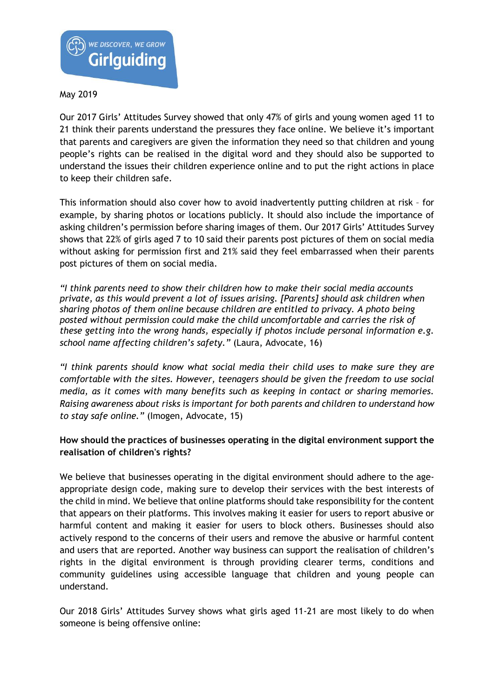

Our 2017 Girls' Attitudes Survey showed that only 47% of girls and young women aged 11 to 21 think their parents understand the pressures they face online. We believe it's important that parents and caregivers are given the information they need so that children and young people's rights can be realised in the digital word and they should also be supported to understand the issues their children experience online and to put the right actions in place to keep their children safe.

This information should also cover how to avoid inadvertently putting children at risk – for example, by sharing photos or locations publicly. It should also include the importance of asking children's permission before sharing images of them. Our 2017 Girls' Attitudes Survey shows that 22% of girls aged 7 to 10 said their parents post pictures of them on social media without asking for permission first and 21% said they feel embarrassed when their parents post pictures of them on social media.

*"I think parents need to show their children how to make their social media accounts private, as this would prevent a lot of issues arising. [Parents] should ask children when sharing photos of them online because children are entitled to privacy. A photo being posted without permission could make the child uncomfortable and carries the risk of these getting into the wrong hands, especially if photos include personal information e.g. school name affecting children's safety."* (Laura, Advocate, 16)

*"I think parents should know what social media their child uses to make sure they are comfortable with the sites. However, teenagers should be given the freedom to use social media, as it comes with many benefits such as keeping in contact or sharing memories. Raising awareness about risks is important for both parents and children to understand how to stay safe online."* (Imogen, Advocate, 15)

## **How should the practices of businesses operating in the digital environment support the realisation of children's rights?**

We believe that businesses operating in the digital environment should adhere to the ageappropriate design code, making sure to develop their services with the best interests of the child in mind. We believe that online platforms should take responsibility for the content that appears on their platforms. This involves making it easier for users to report abusive or harmful content and making it easier for users to block others. Businesses should also actively respond to the concerns of their users and remove the abusive or harmful content and users that are reported. Another way business can support the realisation of children's rights in the digital environment is through providing clearer terms, conditions and community guidelines using accessible language that children and young people can understand.

Our 2018 Girls' Attitudes Survey shows what girls aged 11-21 are most likely to do when someone is being offensive online: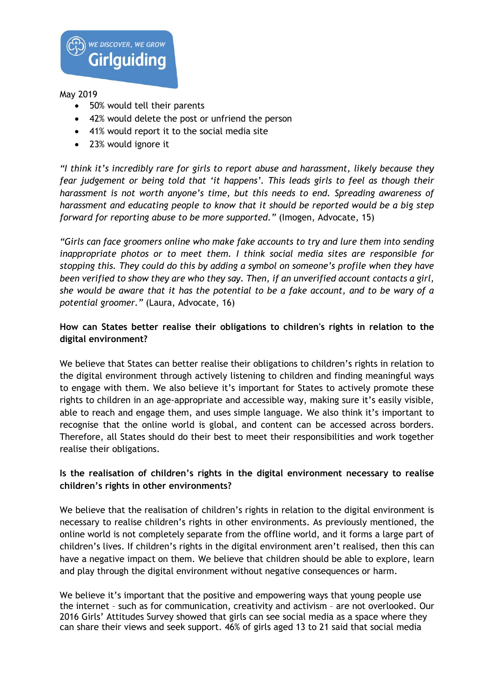

- 50% would tell their parents
- 42% would delete the post or unfriend the person
- 41% would report it to the social media site
- 23% would ignore it

*"I think it's incredibly rare for girls to report abuse and harassment, likely because they fear judgement or being told that 'it happens'. This leads girls to feel as though their harassment is not worth anyone's time, but this needs to end. Spreading awareness of harassment and educating people to know that it should be reported would be a big step forward for reporting abuse to be more supported."* (Imogen, Advocate, 15)

*"Girls can face groomers online who make fake accounts to try and lure them into sending inappropriate photos or to meet them. I think social media sites are responsible for stopping this. They could do this by adding a symbol on someone's profile when they have been verified to show they are who they say. Then, if an unverified account contacts a girl, she would be aware that it has the potential to be a fake account, and to be wary of a potential groomer."* (Laura, Advocate, 16)

## **How can States better realise their obligations to children's rights in relation to the digital environment?**

We believe that States can better realise their obligations to children's rights in relation to the digital environment through actively listening to children and finding meaningful ways to engage with them. We also believe it's important for States to actively promote these rights to children in an age-appropriate and accessible way, making sure it's easily visible, able to reach and engage them, and uses simple language. We also think it's important to recognise that the online world is global, and content can be accessed across borders. Therefore, all States should do their best to meet their responsibilities and work together realise their obligations.

## **Is the realisation of children's rights in the digital environment necessary to realise children's rights in other environments?**

We believe that the realisation of children's rights in relation to the digital environment is necessary to realise children's rights in other environments. As previously mentioned, the online world is not completely separate from the offline world, and it forms a large part of children's lives. If children's rights in the digital environment aren't realised, then this can have a negative impact on them. We believe that children should be able to explore, learn and play through the digital environment without negative consequences or harm.

We believe it's important that the positive and empowering ways that young people use the internet – such as for communication, creativity and activism – are not overlooked. Our 2016 Girls' Attitudes Survey showed that girls can see social media as a space where they can share their views and seek support. 46% of girls aged 13 to 21 said that social media